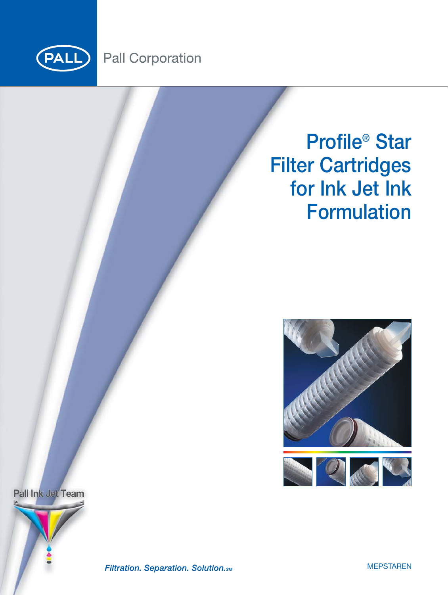

# **Pall Corporation**

# **Profile® Star Filter Cartridges for Ink Jet Ink Formulation**



Pall Ink Jet Team



Filtration. Separation. Solution. SM

**MEPSTAREN**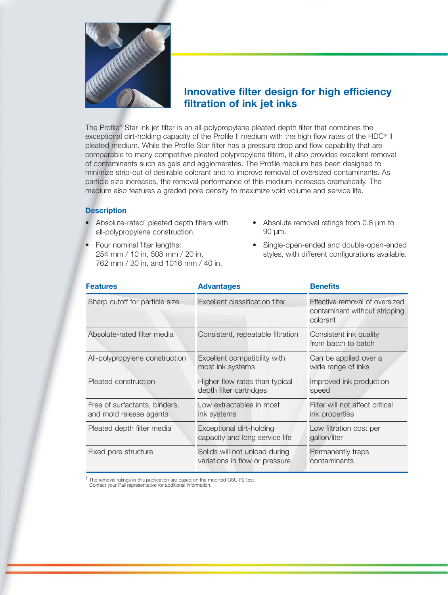

### **Innovative filter design for high efficiency filtration of ink jet inks**

The Profile® Star ink jet filter is an all-polypropylene pleated depth filter that combines the exceptional dirt-holding capacity of the Profile II medium with the high flow rates of the HDC® II pleated medium. While the Profile Star filter has a pressure drop and flow capability that are comparable to many competitive pleated polypropylene filters, it also provides excellent removal of contaminants such as gels and agglomerates. The Profile medium has been designed to minimize strip-out of desirable colorant and to improve removal of oversized contaminants. As particle size increases, the removal performance of this medium increases dramatically. The medium also features a graded pore density to maximize void volume and service life.

#### **Description**

- Absolute-rated<sup>1</sup> pleated depth filters with all-polypropylene construction.
- Four nominal filter lengths: 254 mm / 10 in, 508 mm / 20 in, 762 mm / 30 in, and 1016 mm / 40 in.
- Absolute removal ratings from 0.8 µm to 90 µm.
- Single-open-ended and double-open-ended styles, with different configurations available.

| <b>Features</b>                                          | <b>Advantages</b>                                               | <b>Benefits</b>                                                             |
|----------------------------------------------------------|-----------------------------------------------------------------|-----------------------------------------------------------------------------|
| Sharp cutoff for particle size                           | Excellent classification filter                                 | Effective removal of oversized<br>contaminant without stripping<br>colorant |
| Absolute-rated filter media                              | Consistent, repeatable filtration                               | Consistent ink quality<br>from batch to batch                               |
| All-polypropylene construction                           | Excellent compatibility with<br>most ink systems                | Can be applied over a<br>wide range of inks                                 |
| Pleated construction                                     | Higher flow rates than typical<br>depth filter cartridges       | Improved ink production<br>speed                                            |
| Free of surfactants, binders,<br>and mold release agents | Low extractables in most<br>ink systems                         | Filter will not affect critical<br>ink properties                           |
| Pleated depth filter media                               | Exceptional dirt-holding<br>capacity and long service life      | Low filtration cost per<br>gallon/liter                                     |
| Fixed pore structure                                     | Solids will not unload during<br>variations in flow or pressure | Permanently traps<br>contaminants                                           |

1 The removal ratings in this publication are based on the modified OSU-F2 test. Contact your Pall representative for additional information.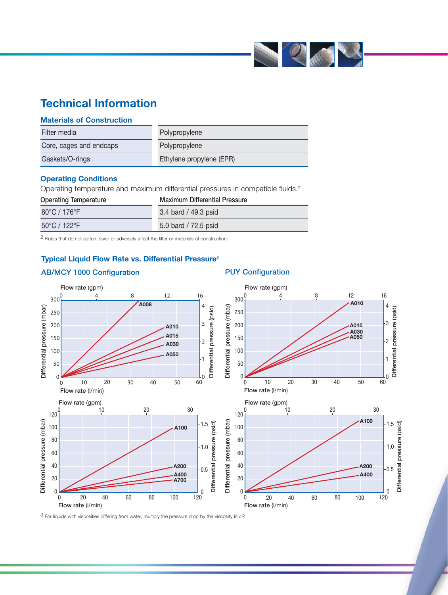

# **Technical Information**

|  | <b>Materials of Construction</b> |
|--|----------------------------------|
|  |                                  |

| Filter media            | Polypropylene            |
|-------------------------|--------------------------|
| Core, cages and endcaps | Polypropylene            |
| Gaskets/O-rings         | Ethylene propylene (EPR) |

#### **Operating Conditions**

Operating temperature and maximum differential pressures in compatible fluids.<sup>2</sup>

| <b>Operating Temperature</b>      | <b>Maximum Differential Pressure</b> |
|-----------------------------------|--------------------------------------|
| $80^{\circ}$ C / 176 $^{\circ}$ F | 3.4 bard / 49.3 psid                 |
| $50^{\circ}$ C / 122 $^{\circ}$ F | 5.0 bard / 72.5 psid                 |

2 Fluids that do not soften, swell or adversely affect the filter or materials of construction.

#### **Typical Liquid Flow Rate vs. Differential Pressure3**

#### **AB/MCY 1000 Configuration PUY Configuration**



3 For liquids with viscosities differing from water, multiply the pressure drop by the viscosity in cP.